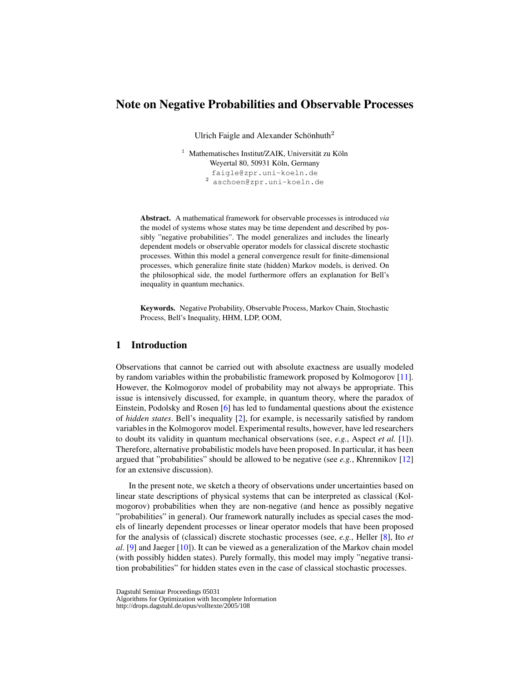# Note on Negative Probabilities and Observable Processes

Ulrich Faigle and Alexander Schönhuth<sup>2</sup>

 $1$  Mathematisches Institut/ZAIK, Universität zu Köln Weyertal 80, 50931 Köln, Germany faigle@zpr.uni-koeln.de <sup>2</sup> aschoen@zpr.uni-koeln.de

Abstract. A mathematical framework for observable processes is introduced *via* the model of systems whose states may be time dependent and described by possibly "negative probabilities". The model generalizes and includes the linearly dependent models or observable operator models for classical discrete stochastic processes. Within this model a general convergence result for finite-dimensional processes, which generalize finite state (hidden) Markov models, is derived. On the philosophical side, the model furthermore offers an explanation for Bell's inequality in quantum mechanics.

Keywords. Negative Probability, Observable Process, Markov Chain, Stochastic Process, Bell's Inequality, HHM, LDP, OOM,

# 1 Introduction

Observations that cannot be carried out with absolute exactness are usually modeled by random variables within the probabilistic framework proposed by Kolmogorov [\[11\]](#page-13-0). However, the Kolmogorov model of probability may not always be appropriate. This issue is intensively discussed, for example, in quantum theory, where the paradox of Einstein, Podolsky and Rosen [\[6\]](#page-13-1) has led to fundamental questions about the existence of *hidden states*. Bell's inequality [\[2\]](#page-13-2), for example, is necessarily satisfied by random variables in the Kolmogorov model. Experimental results, however, have led researchers to doubt its validity in quantum mechanical observations (see, *e.g.*, Aspect *et al.* [\[1\]](#page-12-0)). Therefore, alternative probabilistic models have been proposed. In particular, it has been argued that "probabilities" should be allowed to be negative (see *e.g.*, Khrennikov [\[12\]](#page-13-3) for an extensive discussion).

In the present note, we sketch a theory of observations under uncertainties based on linear state descriptions of physical systems that can be interpreted as classical (Kolmogorov) probabilities when they are non-negative (and hence as possibly negative "probabilities" in general). Our framework naturally includes as special cases the models of linearly dependent processes or linear operator models that have been proposed for the analysis of (classical) discrete stochastic processes (see, *e.g.*, Heller [\[8\]](#page-13-4), Ito *et al.* [\[9\]](#page-13-5) and Jaeger [\[10\]](#page-13-6)). It can be viewed as a generalization of the Markov chain model (with possibly hidden states). Purely formally, this model may imply "negative transition probabilities" for hidden states even in the case of classical stochastic processes.

Dagstuhl Seminar Proceedings 05031

Algorithms for Optimization with Incomplete Information

http://drops.dagstuhl.de/opus/volltexte/2005/108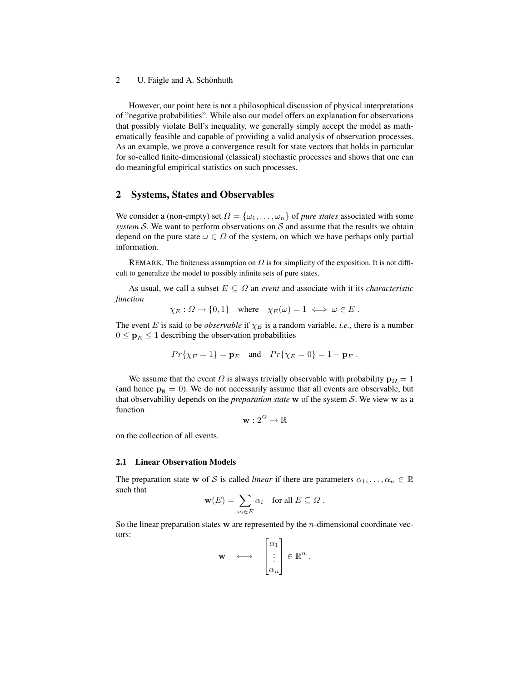However, our point here is not a philosophical discussion of physical interpretations of "negative probabilities". While also our model offers an explanation for observations that possibly violate Bell's inequality, we generally simply accept the model as mathematically feasible and capable of providing a valid analysis of observation processes. As an example, we prove a convergence result for state vectors that holds in particular for so-called finite-dimensional (classical) stochastic processes and shows that one can do meaningful empirical statistics on such processes.

# <span id="page-1-0"></span>2 Systems, States and Observables

We consider a (non-empty) set  $\Omega = {\omega_1, \dots, \omega_n}$  of *pure states* associated with some *system* S. We want to perform observations on  $S$  and assume that the results we obtain depend on the pure state  $\omega \in \Omega$  of the system, on which we have perhaps only partial information.

REMARK. The finiteness assumption on  $\Omega$  is for simplicity of the exposition. It is not difficult to generalize the model to possibly infinite sets of pure states.

As usual, we call a subset  $E \subseteq \Omega$  an *event* and associate with it its *characteristic function*

$$
\chi_E : \Omega \to \{0, 1\}
$$
 where  $\chi_E(\omega) = 1 \iff \omega \in E$ .

The event E is said to be *observable* if  $\chi_E$  is a random variable, *i.e.*, there is a number  $0 \leq \mathbf{p}_E \leq 1$  describing the observation probabilities

$$
Pr{\chi_E = 1} = \mathbf{p}_E
$$
 and  $Pr{\chi_E = 0} = 1 - \mathbf{p}_E$ .

We assume that the event  $\Omega$  is always trivially observable with probability  $p_{\Omega} = 1$ (and hence  $\mathbf{p}_{\emptyset} = 0$ ). We do not necessarily assume that all events are observable, but that observability depends on the *preparation state* w of the system S. We view w as a function

$$
\mathbf{w}: 2^{\Omega} \to \mathbb{R}
$$

on the collection of all events.

#### 2.1 Linear Observation Models

The preparation state w of S is called *linear* if there are parameters  $\alpha_1, \dots, \alpha_n \in \mathbb{R}$ such that

$$
\mathbf{w}(E) = \sum_{\omega_i \in E} \alpha_i \quad \text{for all } E \subseteq \Omega .
$$

So the linear preparation states  $w$  are represented by the *n*-dimensional coordinate vectors:  $\mathbf{r}$ 

$$
\mathbf{w} \quad \longleftrightarrow \quad \begin{bmatrix} \alpha_1 \\ \vdots \\ \alpha_n \end{bmatrix} \in \mathbb{R}^n \ .
$$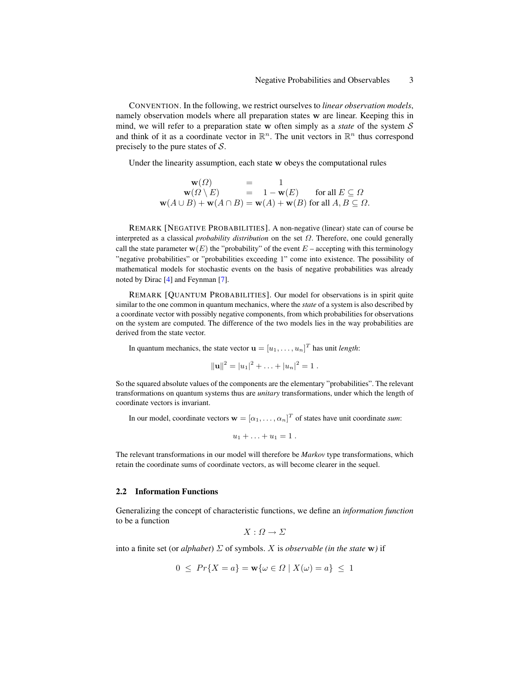CONVENTION. In the following, we restrict ourselves to *linear observation models*, namely observation models where all preparation states w are linear. Keeping this in mind, we will refer to a preparation state w often simply as a *state* of the system S and think of it as a coordinate vector in  $\mathbb{R}^n$ . The unit vectors in  $\mathbb{R}^n$  thus correspond precisely to the pure states of  $S$ .

Under the linearity assumption, each state w obeys the computational rules

$$
\mathbf{w}(\Omega) = 1
$$
  
\n
$$
\mathbf{w}(\Omega \setminus E) = 1 - \mathbf{w}(E) \text{ for all } E \subseteq \Omega
$$
  
\n
$$
\mathbf{w}(A \cup B) + \mathbf{w}(A \cap B) = \mathbf{w}(A) + \mathbf{w}(B) \text{ for all } A, B \subseteq \Omega.
$$

REMARK [NEGATIVE PROBABILITIES]. A non-negative (linear) state can of course be interpreted as a classical *probability distribution* on the set Ω. Therefore, one could generally call the state parameter  $w(E)$  the "probability" of the event  $E$  – accepting with this terminology "negative probabilities" or "probabilities exceeding 1" come into existence. The possibility of mathematical models for stochastic events on the basis of negative probabilities was already noted by Dirac [\[4\]](#page-13-7) and Feynman [\[7\]](#page-13-8).

REMARK [QUANTUM PROBABILITIES]. Our model for observations is in spirit quite similar to the one common in quantum mechanics, where the *state* of a system is also described by a coordinate vector with possibly negative components, from which probabilities for observations on the system are computed. The difference of the two models lies in the way probabilities are derived from the state vector.

In quantum mechanics, the state vector  $\mathbf{u} = [u_1, \dots, u_n]^T$  has unit *length*:

$$
||\mathbf{u}||^2 = |u_1|^2 + \ldots + |u_n|^2 = 1.
$$

So the squared absolute values of the components are the elementary "probabilities". The relevant transformations on quantum systems thus are *unitary* transformations, under which the length of coordinate vectors is invariant.

In our model, coordinate vectors  $\mathbf{w} = [\alpha_1, \dots, \alpha_n]^T$  of states have unit coordinate *sum*:

$$
u_1+\ldots+u_1=1.
$$

The relevant transformations in our model will therefore be *Markov* type transformations, which retain the coordinate sums of coordinate vectors, as will become clearer in the sequel.

#### 2.2 Information Functions

Generalizing the concept of characteristic functions, we define an *information function* to be a function

$$
X: \Omega \to \Sigma
$$

into a finite set (or *alphabet*)  $\Sigma$  of symbols. X is *observable* (in the state **w**) if

$$
0 \le Pr\{X=a\} = \mathbf{w}\{\omega \in \Omega \mid X(\omega) = a\} \le 1
$$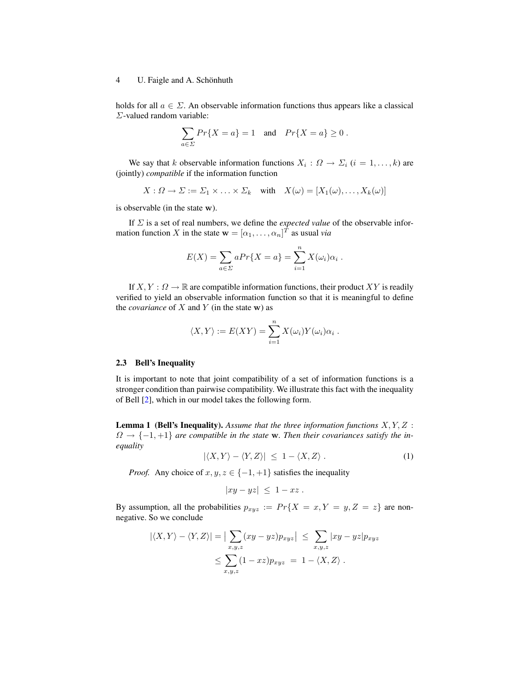holds for all  $a \in \Sigma$ . An observable information functions thus appears like a classical Σ-valued random variable:

$$
\sum_{a \in \Sigma} Pr\{X = a\} = 1 \quad \text{and} \quad Pr\{X = a\} \ge 0 \; .
$$

We say that k observable information functions  $X_i$ :  $\Omega \to \Sigma_i$   $(i = 1, \ldots, k)$  are (jointly) *compatible* if the information function

$$
X: \Omega \to \Sigma := \Sigma_1 \times \ldots \times \Sigma_k \quad \text{with} \quad X(\omega) = [X_1(\omega), \ldots, X_k(\omega)]
$$

is observable (in the state w).

If Σ is a set of real numbers, we define the *expected value* of the observable information function X in the state  $\mathbf{w} = [\alpha_1, \dots, \alpha_n]^T$  as usual *via* 

$$
E(X) = \sum_{a \in \Sigma} a Pr\{X = a\} = \sum_{i=1}^{n} X(\omega_i) \alpha_i.
$$

If  $X, Y: \Omega \to \mathbb{R}$  are compatible information functions, their product XY is readily verified to yield an observable information function so that it is meaningful to define the *covariance* of  $X$  and  $Y$  (in the state w) as

$$
\langle X, Y \rangle := E(XY) = \sum_{i=1}^{n} X(\omega_i) Y(\omega_i) \alpha_i.
$$

#### 2.3 Bell's Inequality

It is important to note that joint compatibility of a set of information functions is a stronger condition than pairwise compatibility. We illustrate this fact with the inequality of Bell [\[2\]](#page-13-2), which in our model takes the following form.

Lemma 1 (Bell's Inequality). *Assume that the three information functions* X, Y, Z :  $\Omega \rightarrow \{-1, +1\}$  are compatible in the state **w**. Then their covariances satisfy the in*equality*

<span id="page-3-0"></span>
$$
|\langle X, Y \rangle - \langle Y, Z \rangle| \le 1 - \langle X, Z \rangle. \tag{1}
$$

*Proof.* Any choice of  $x, y, z \in \{-1, +1\}$  satisfies the inequality

$$
|xy - yz| \leq 1 - xz.
$$

By assumption, all the probabilities  $p_{xyz} := Pr\{X = x, Y = y, Z = z\}$  are nonnegative. So we conclude

$$
|\langle X, Y \rangle - \langle Y, Z \rangle| = \left| \sum_{x,y,z} (xy - yz) p_{xyz} \right| \leq \sum_{x,y,z} |xy - yz| p_{xyz}
$$
  

$$
\leq \sum_{x,y,z} (1 - xz) p_{xyz} = 1 - \langle X, Z \rangle.
$$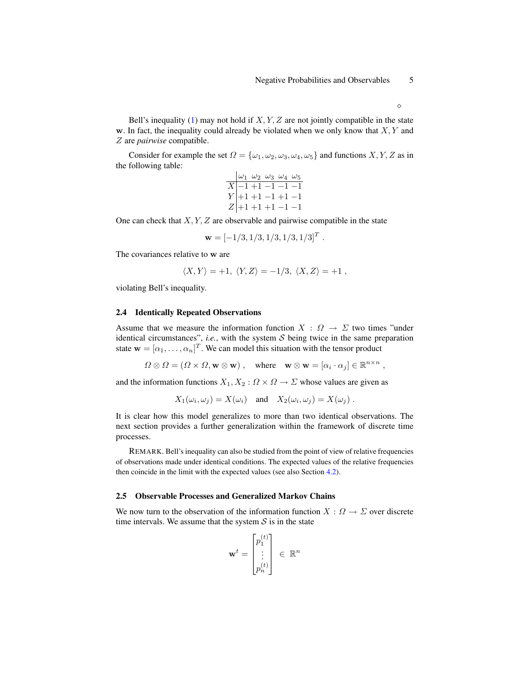Bell's inequality [\(1\)](#page-3-0) may not hold if  $X, Y, Z$  are not jointly compatible in the state w. In fact, the inequality could already be violated when we only know that  $X, Y$  and Z are *pairwise* compatible.

Consider for example the set  $\Omega = {\omega_1, \omega_2, \omega_3, \omega_4, \omega_5}$  and functions  $X, Y, Z$  as in the following table:

|  | $\omega_1$ $\omega_2$ $\omega_3$ $\omega_4$ $\omega_5$                                                                         |  |  |
|--|--------------------------------------------------------------------------------------------------------------------------------|--|--|
|  |                                                                                                                                |  |  |
|  | $\begin{array}{c c c}\n\hline\nX & -1 & +1 & -1 & -1 \\ Y & +1 & +1 & -1 & +1 & -1 \\ Z & +1 & +1 & +1 & -1 & -1\n\end{array}$ |  |  |
|  |                                                                                                                                |  |  |

One can check that  $X, Y, Z$  are observable and pairwise compatible in the state

$$
\mathbf{w} = [-1/3, 1/3, 1/3, 1/3, 1/3]^T.
$$

The covariances relative to w are

$$
\langle X, Y \rangle = +1, \ \langle Y, Z \rangle = -1/3, \ \langle X, Z \rangle = +1 \ ,
$$

violating Bell's inequality.

#### 2.4 Identically Repeated Observations

Assume that we measure the information function  $X : \Omega \to \Sigma$  two times "under identical circumstances", *i.e.*, with the system  $S$  being twice in the same preparation state  $\mathbf{w} = [\alpha_1, \dots, \alpha_n]^T$ . We can model this situation with the tensor product

 $\Omega \otimes \Omega = (\Omega \times \Omega, \mathbf{w} \otimes \mathbf{w})$ , where  $\mathbf{w} \otimes \mathbf{w} = [\alpha_i \cdot \alpha_j] \in \mathbb{R}^{n \times n}$ ,

and the information functions  $X_1, X_2 : \Omega \times \Omega \to \Sigma$  whose values are given as

$$
X_1(\omega_i, \omega_j) = X(\omega_i) \quad \text{and} \quad X_2(\omega_i, \omega_j) = X(\omega_j) \ .
$$

It is clear how this model generalizes to more than two identical observations. The next section provides a further generalization within the framework of discrete time processes.

REMARK. Bell's inequality can also be studied from the point of view of relative frequencies of observations made under identical conditions. The expected values of the relative frequencies then coincide in the limit with the expected values (see also Section [4.2\)](#page-12-1).

### 2.5 Observable Processes and Generalized Markov Chains

We now turn to the observation of the information function  $X : \Omega \to \Sigma$  over discrete time intervals. We assume that the system  $S$  is in the state

$$
\mathbf{w}^t = \begin{bmatrix} p_1^{(t)} \\ \vdots \\ p_n^{(t)} \end{bmatrix} \ \in \ \mathbb{R}^n
$$

♦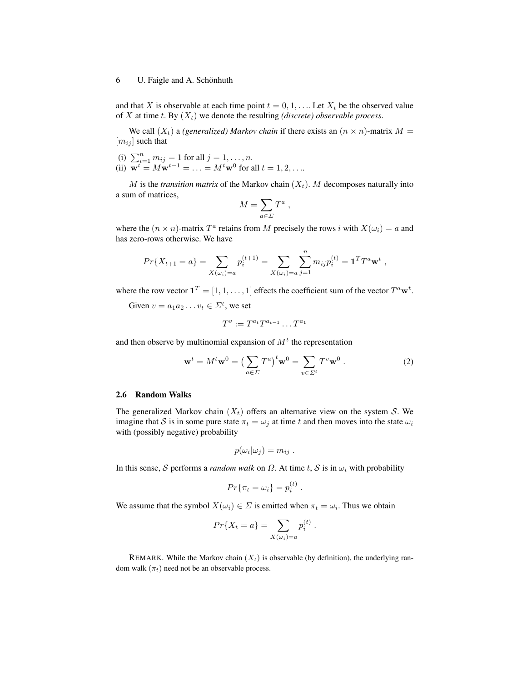and that X is observable at each time point  $t = 0, 1, \ldots$  Let  $X_t$  be the observed value of X at time t. By  $(X_t)$  we denote the resulting *(discrete)* observable process.

We call  $(X_t)$  a *(generalized) Markov chain* if there exists an  $(n \times n)$ -matrix  $M =$  $[m_{ij}]$  such that

(i)  $\sum_{i=1}^{n} m_{ij} = 1$  for all  $j = 1, ..., n$ . (ii)  $\overline{\mathbf{w}^t} = M\overline{\mathbf{w}^{t-1}} = \ldots = M^t\overline{\mathbf{w}^0}$  for all  $t = 1, 2, \ldots$ 

M is the *transition matrix* of the Markov chain  $(X_t)$ . M decomposes naturally into a sum of matrices,

$$
M = \sum_{a \in \Sigma} T^a ,
$$

where the  $(n \times n)$ -matrix  $T^a$  retains from M precisely the rows i with  $X(\omega_i) = a$  and has zero-rows otherwise. We have

$$
Pr{X_{t+1} = a} = \sum_{X(\omega_i)=a} p_i^{(t+1)} = \sum_{X(\omega_i)=a} \sum_{j=1}^n m_{ij} p_i^{(t)} = \mathbf{1}^T T^a \mathbf{w}^t,
$$

where the row vector  $\mathbf{1}^T = [1, 1, \dots, 1]$  effects the coefficient sum of the vector  $T^a \mathbf{w}^t$ .

Given  $v = a_1 a_2 \dots v_t \in \Sigma^t$ , we set

$$
T^v := T^{a_t} T^{a_{t-1}} \dots T^{a_1}
$$

and then observe by multinomial expansion of  $M<sup>t</sup>$  the representation

$$
\mathbf{w}^t = M^t \mathbf{w}^0 = \left(\sum_{a \in \Sigma} T^a\right)^t \mathbf{w}^0 = \sum_{v \in \Sigma^t} T^v \mathbf{w}^0.
$$
 (2)

### 2.6 Random Walks

The generalized Markov chain  $(X_t)$  offers an alternative view on the system S. We imagine that S is in some pure state  $\pi_t = \omega_i$  at time t and then moves into the state  $\omega_i$ with (possibly negative) probability

$$
p(\omega_i|\omega_j)=m_{ij}.
$$

In this sense, S performs a *random walk* on  $\Omega$ . At time t, S is in  $\omega_i$  with probability

$$
Pr{\pi_t = \omega_i} = p_i^{(t)}.
$$

We assume that the symbol  $X(\omega_i) \in \Sigma$  is emitted when  $\pi_t = \omega_i$ . Thus we obtain

$$
Pr{X_t = a} = \sum_{X(\omega_i) = a} p_i^{(t)}
$$
.

REMARK. While the Markov chain  $(X_t)$  is observable (by definition), the underlying random walk  $(\pi_t)$  need not be an observable process.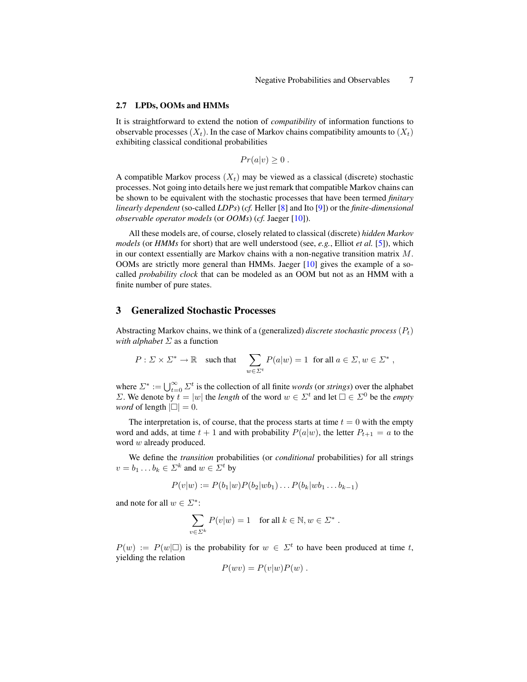#### 2.7 LPDs, OOMs and HMMs

It is straightforward to extend the notion of *compatibility* of information functions to observable processes  $(X_t)$ . In the case of Markov chains compatibility amounts to  $(X_t)$ exhibiting classical conditional probabilities

$$
Pr(a|v) \ge 0.
$$

A compatible Markov process  $(X_t)$  may be viewed as a classical (discrete) stochastic processes. Not going into details here we just remark that compatible Markov chains can be shown to be equivalent with the stochastic processes that have been termed *finitary linearly dependent* (so-called *LDPs*) (*cf.* Heller [\[8\]](#page-13-4) and Ito [\[9\]](#page-13-5)) or the *finite-dimensional observable operator models* (or *OOMs*) (*cf.* Jaeger [\[10\]](#page-13-6)).

All these models are, of course, closely related to classical (discrete) *hidden Markov models* (or *HMMs* for short) that are well understood (see, *e.g.*, Elliot *et al.* [\[5\]](#page-13-9)), which in our context essentially are Markov chains with a non-negative transition matrix  $M$ . OOMs are strictly more general than HMMs. Jaeger [\[10\]](#page-13-6) gives the example of a socalled *probability clock* that can be modeled as an OOM but not as an HMM with a finite number of pure states.

# 3 Generalized Stochastic Processes

Abstracting Markov chains, we think of a (generalized) *discrete stochastic process*  $(P_t)$ *with alphabet* Σ as a function

$$
P: \Sigma \times \Sigma^* \to \mathbb{R} \quad \text{such that} \quad \sum_{w \in \Sigma^t} P(a|w) = 1 \ \text{ for all } a \in \Sigma, w \in \Sigma^* \ ,
$$

where  $\Sigma^* := \bigcup_{t=0}^{\infty} \Sigma^t$  is the collection of all finite *words* (or *strings*) over the alphabet  $\Sigma$ . We denote by  $\vec{t} = |w|$  the *length* of the word  $w \in \Sigma^t$  and let  $\square \in \Sigma^0$  be the *empty word* of length  $|\Box| = 0$ .

The interpretation is, of course, that the process starts at time  $t = 0$  with the empty word and adds, at time  $t + 1$  and with probability  $P(a|w)$ , the letter  $P_{t+1} = a$  to the word w already produced.

We define the *transition* probabilities (or *conditional* probabilities) for all strings  $v = b_1 \dots b_k \in \Sigma^k$  and  $w \in \Sigma^t$  by

$$
P(v|w) := P(b_1|w)P(b_2|wb_1)...P(b_k|wb_1...b_{k-1})
$$

and note for all  $w \in \Sigma^*$ :

$$
\sum_{v \in \Sigma^k} P(v|w) = 1 \quad \text{for all } k \in \mathbb{N}, w \in \Sigma^*.
$$

 $P(w) := P(w|\Box)$  is the probability for  $w \in \Sigma^t$  to have been produced at time t, yielding the relation

$$
P(wv) = P(v|w)P(w) .
$$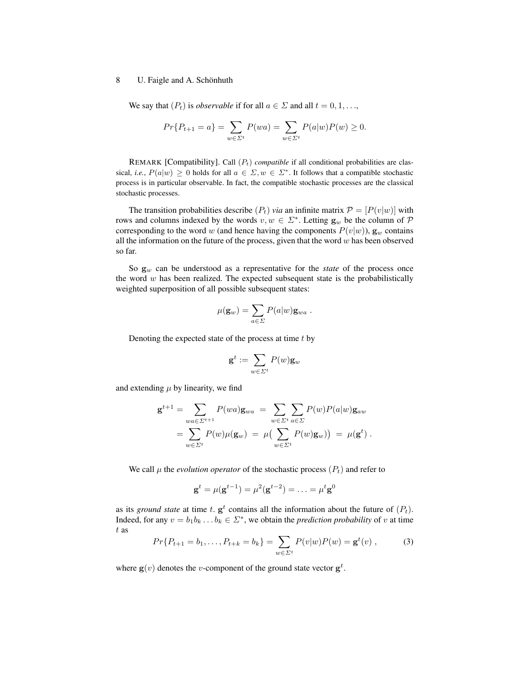We say that  $(P_t)$  is *observable* if for all  $a \in \Sigma$  and all  $t = 0, 1, \ldots$ ,

$$
Pr{P_{t+1} = a} = \sum_{w \in \Sigma^t} P(wa) = \sum_{w \in \Sigma^t} P(a|w)P(w) \ge 0.
$$

REMARK [Compatibility]. Call  $(P_t)$  *compatible* if all conditional probabilities are classical, *i.e.*,  $P(a|w) \ge 0$  holds for all  $a \in \Sigma, w \in \Sigma^*$ . It follows that a compatible stochastic process is in particular observable. In fact, the compatible stochastic processes are the classical stochastic processes.

The transition probabilities describe  $(P_t)$  *via* an infinite matrix  $P = [P(v|w)]$  with rows and columns indexed by the words  $v, w \in \Sigma^*$ . Letting  $\mathbf{g}_w$  be the column of  $\mathcal P$ corresponding to the word w (and hence having the components  $P(v|w)$ ),  $\mathbf{g}_w$  contains all the information on the future of the process, given that the word  $w$  has been observed so far.

So  $g_w$  can be understood as a representative for the *state* of the process once the word  $w$  has been realized. The expected subsequent state is the probabilistically weighted superposition of all possible subsequent states:

$$
\mu(\mathbf{g}_w) = \sum_{a \in \Sigma} P(a|w) \mathbf{g}_{wa} .
$$

Denoting the expected state of the process at time  $t$  by

$$
\mathbf{g}^t := \sum_{w \in \varSigma^t} P(w) \mathbf{g}_w
$$

and extending  $\mu$  by linearity, we find

$$
\mathbf{g}^{t+1} = \sum_{wa \in \Sigma^{t+1}} P(wa) \mathbf{g}_{wa} = \sum_{w \in \Sigma^{t}} \sum_{a \in \Sigma} P(w) P(a|w) \mathbf{g}_{aw}
$$
  
= 
$$
\sum_{w \in \Sigma^{t}} P(w) \mu(\mathbf{g}_{w}) = \mu \big( \sum_{w \in \Sigma^{t}} P(w) \mathbf{g}_{w} \big) = \mu(\mathbf{g}^{t}).
$$

We call  $\mu$  the *evolution operator* of the stochastic process  $(P_t)$  and refer to

$$
\mathbf{g}^{t} = \mu(\mathbf{g}^{t-1}) = \mu^{2}(\mathbf{g}^{t-2}) = \ldots = \mu^{t}\mathbf{g}^{0}
$$

as its *ground state* at time t,  $g^t$  contains all the information about the future of  $(P_t)$ . Indeed, for any  $v = b_1 b_k ... b_k \in \Sigma^*$ , we obtain the *prediction probability* of v at time t as

$$
Pr\{P_{t+1} = b_1, \dots, P_{t+k} = b_k\} = \sum_{w \in \Sigma^t} P(v|w)P(w) = \mathbf{g}^t(v) , \tag{3}
$$

where  $g(v)$  denotes the *v*-component of the ground state vector  $g<sup>t</sup>$ .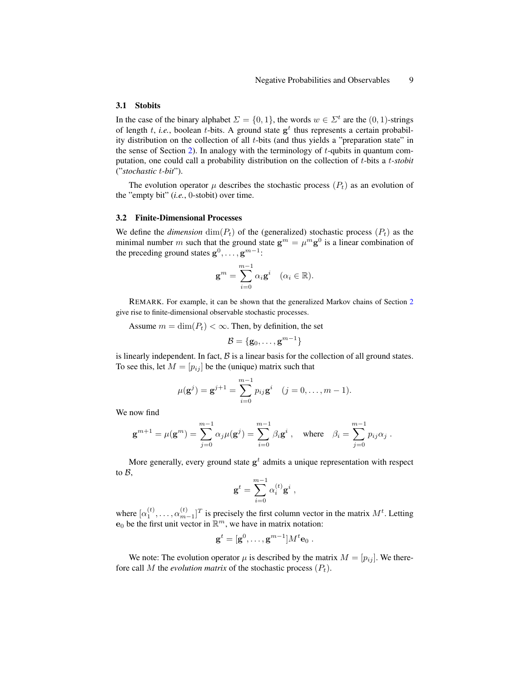### 3.1 Stobits

In the case of the binary alphabet  $\Sigma = \{0, 1\}$ , the words  $w \in \Sigma^t$  are the  $(0, 1)$ -strings of length  $t$ , *i.e.*, boolean  $t$ -bits. A ground state  $g^t$  thus represents a certain probability distribution on the collection of all  $t$ -bits (and thus yields a "preparation state" in the sense of Section [2\)](#page-1-0). In analogy with the terminology of  $t$ -qubits in quantum computation, one could call a probability distribution on the collection of t-bits a t*-stobit* ("*stochastic* t*-bit*").

The evolution operator  $\mu$  describes the stochastic process  $(P_t)$  as an evolution of the "empty bit" (*i.e.*, 0-stobit) over time.

### 3.2 Finite-Dimensional Processes

We define the *dimension*  $\dim(P_t)$  of the (generalized) stochastic process  $(P_t)$  as the minimal number m such that the ground state  $\mathbf{g}^m = \mu^m \mathbf{g}^0$  is a linear combination of the preceding ground states  $g^0, \ldots, g^{m-1}$ :

$$
\mathbf{g}^m = \sum_{i=0}^{m-1} \alpha_i \mathbf{g}^i \quad (\alpha_i \in \mathbb{R}).
$$

REMARK. For example, it can be shown that the generalized Markov chains of Section [2](#page-1-0) give rise to finite-dimensional observable stochastic processes.

Assume  $m = \dim(P_t) < \infty$ . Then, by definition, the set

$$
\mathcal{B} = \{\mathbf{g}_0, \dots, \mathbf{g}^{m-1}\}
$$

is linearly independent. In fact,  $\beta$  is a linear basis for the collection of all ground states. To see this, let  $M = [p_{ij}]$  be the (unique) matrix such that

$$
\mu(\mathbf{g}^j) = \mathbf{g}^{j+1} = \sum_{i=0}^{m-1} p_{ij} \mathbf{g}^i \quad (j = 0, \dots, m-1).
$$

We now find

$$
\mathbf{g}^{m+1} = \mu(\mathbf{g}^m) = \sum_{j=0}^{m-1} \alpha_j \mu(\mathbf{g}^j) = \sum_{i=0}^{m-1} \beta_i \mathbf{g}^i , \text{ where } \beta_i = \sum_{j=0}^{m-1} p_{ij} \alpha_j .
$$

More generally, every ground state  $g^t$  admits a unique representation with respect to  $B$ ,

$$
\mathbf{g}^t = \sum_{i=0}^{m-1} \alpha_i^{(t)} \mathbf{g}^i ,
$$

where  $[\alpha_1^{(t)}, \dots, \alpha_{m-1}^{(t)}]^T$  is precisely the first column vector in the matrix  $M^t$ . Letting  $\mathbf{e}_0$  be the first unit vector in  $\mathbb{R}^m$ , we have in matrix notation:

$$
\mathbf{g}^t = [\mathbf{g}^0, \dots, \mathbf{g}^{m-1}] M^t \mathbf{e}_0.
$$

We note: The evolution operator  $\mu$  is described by the matrix  $M = [p_{ij}]$ . We therefore call M the *evolution matrix* of the stochastic process  $(P_t)$ .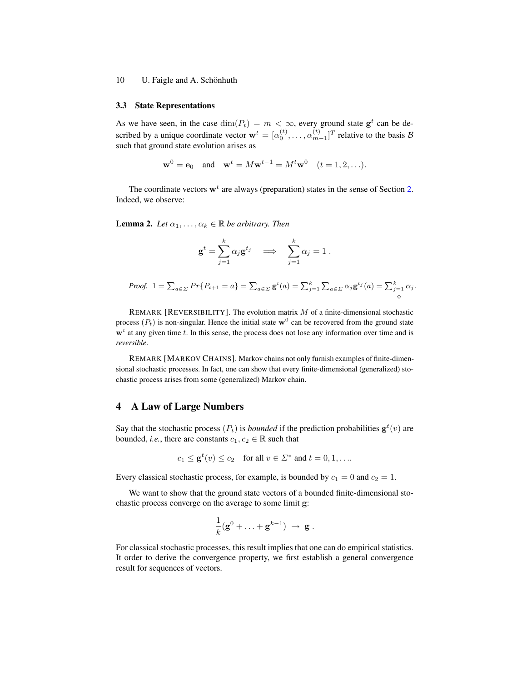#### 3.3 State Representations

As we have seen, in the case  $\dim(P_t) = m < \infty$ , every ground state  $g^t$  can be described by a unique coordinate vector  $\mathbf{w}^t = [\alpha_0^{(t)}, \dots, \alpha_{m-1}^{(t)}]^T$  relative to the basis  $\mathcal{B}$ such that ground state evolution arises as

$$
\mathbf{w}^0 = \mathbf{e}_0
$$
 and  $\mathbf{w}^t = M\mathbf{w}^{t-1} = M^t\mathbf{w}^0$   $(t = 1, 2, ...).$ 

The coordinate vectors  $w<sup>t</sup>$  are always (preparation) states in the sense of Section [2.](#page-1-0) Indeed, we observe:

**Lemma 2.** *Let*  $\alpha_1, \ldots, \alpha_k \in \mathbb{R}$  *be arbitrary. Then* 

$$
\mathbf{g}^t = \sum_{j=1}^k \alpha_j \mathbf{g}^{t_j} \quad \Longrightarrow \quad \sum_{j=1}^k \alpha_j = 1 \; .
$$

*Proof.* 
$$
1 = \sum_{a \in \Sigma} Pr\{P_{t+1} = a\} = \sum_{a \in \Sigma} \mathbf{g}^t(a) = \sum_{j=1}^k \sum_{a \in \Sigma} \alpha_j \mathbf{g}^{t_j}(a) = \sum_{j=1}^k \alpha_j.
$$

REMARK [REVERSIBILITY]. The evolution matrix  $M$  of a finite-dimensional stochastic process  $(P_t)$  is non-singular. Hence the initial state  $\mathbf{w}^0$  can be recovered from the ground state  $w<sup>t</sup>$  at any given time t. In this sense, the process does not lose any information over time and is *reversible*.

REMARK [MARKOV CHAINS]. Markov chains not only furnish examples of finite-dimensional stochastic processes. In fact, one can show that every finite-dimensional (generalized) stochastic process arises from some (generalized) Markov chain.

# 4 A Law of Large Numbers

Say that the stochastic process  $(P_t)$  is *bounded* if the prediction probabilities  $g^t(v)$  are bounded, *i.e.*, there are constants  $c_1, c_2 \in \mathbb{R}$  such that

$$
c_1 \leq \mathbf{g}^t(v) \leq c_2
$$
 for all  $v \in \Sigma^*$  and  $t = 0, 1, \dots$ 

Every classical stochastic process, for example, is bounded by  $c_1 = 0$  and  $c_2 = 1$ .

We want to show that the ground state vectors of a bounded finite-dimensional stochastic process converge on the average to some limit g:

$$
\frac{1}{k}(\mathbf{g}^0+\ldots+\mathbf{g}^{k-1}) ~\to~ \mathbf{g}~.
$$

For classical stochastic processes, this result implies that one can do empirical statistics. It order to derive the convergence property, we first establish a general convergence result for sequences of vectors.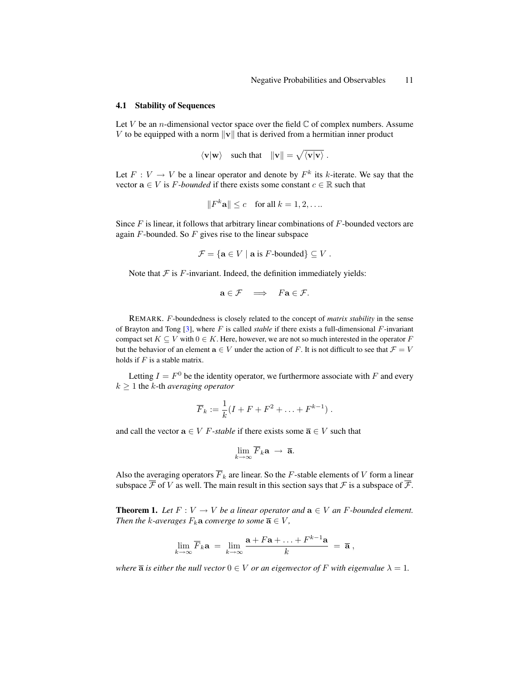#### 4.1 Stability of Sequences

Let V be an *n*-dimensional vector space over the field  $\mathbb C$  of complex numbers. Assume V to be equipped with a norm  $\|\mathbf{v}\|$  that is derived from a hermitian inner product

$$
\langle \mathbf{v} | \mathbf{w} \rangle
$$
 such that  $||\mathbf{v}|| = \sqrt{\langle \mathbf{v} | \mathbf{v} \rangle}$ .

Let  $F: V \to V$  be a linear operator and denote by  $F<sup>k</sup>$  its k-iterate. We say that the vector  $\mathbf{a} \in V$  is *F-bounded* if there exists some constant  $c \in \mathbb{R}$  such that

$$
||F^k\mathbf{a}|| \le c \quad \text{for all } k = 1, 2, \dots
$$

Since  $F$  is linear, it follows that arbitrary linear combinations of  $F$ -bounded vectors are again  $F$ -bounded. So  $F$  gives rise to the linear subspace

$$
\mathcal{F} = \{ \mathbf{a} \in V \mid \mathbf{a} \text{ is } F\text{-bounded} \} \subseteq V.
$$

Note that  $F$  is  $F$ -invariant. Indeed, the definition immediately yields:

$$
\mathbf{a} \in \mathcal{F} \quad \Longrightarrow \quad F\mathbf{a} \in \mathcal{F}.
$$

REMARK. F-boundedness is closely related to the concept of *matrix stability* in the sense of Brayton and Tong [\[3\]](#page-13-10), where F is called *stable* if there exists a full-dimensional F-invariant compact set  $K \subseteq V$  with  $0 \in K$ . Here, however, we are not so much interested in the operator F but the behavior of an element  $a \in V$  under the action of F. It is not difficult to see that  $\mathcal{F} = V$ holds if  $F$  is a stable matrix.

Letting  $I = F^0$  be the identity operator, we furthermore associate with F and every  $k > 1$  the k-th *averaging operator* 

$$
\overline{F}_k := \frac{1}{k}(I + F + F^2 + \dots + F^{k-1}).
$$

and call the vector  $\mathbf{a} \in V$  *F-stable* if there exists some  $\overline{\mathbf{a}} \in V$  such that

$$
\lim_{k\to\infty}\overline{F}_k\mathbf{a} \to \overline{\mathbf{a}}.
$$

Also the averaging operators  $\overline{F}_k$  are linear. So the F-stable elements of V form a linear subspace  $\overline{\mathcal{F}}$  of V as well. The main result in this section says that  $\mathcal{F}$  is a subspace of  $\overline{\mathcal{F}}$ .

<span id="page-10-0"></span>**Theorem 1.** *Let*  $F: V \to V$  *be a linear operator and*  $\mathbf{a} \in V$  *an*  $F$ -bounded element. *Then the k-averages*  $F_k$ **a** *converge to some*  $\overline{a} \in V$ *,* 

$$
\lim_{k\to\infty}\overline{F}_k\mathbf{a} = \lim_{k\to\infty}\frac{\mathbf{a}+F\mathbf{a}+\ldots+F^{k-1}\mathbf{a}}{k} = \overline{\mathbf{a}},
$$

*where*  $\overline{a}$  *is either the null vector*  $0 \in V$  *or an eigenvector of*  $F$  *with eigenvalue*  $\lambda = 1$ *.*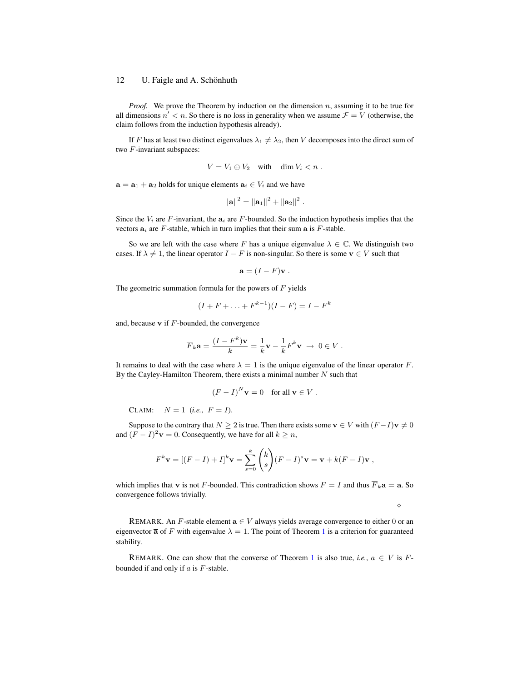*Proof.* We prove the Theorem by induction on the dimension n, assuming it to be true for all dimensions  $n' < n$ . So there is no loss in generality when we assume  $\mathcal{F} = V$  (otherwise, the claim follows from the induction hypothesis already).

If F has at least two distinct eigenvalues  $\lambda_1 \neq \lambda_2$ , then V decomposes into the direct sum of two F-invariant subspaces:

$$
V = V_1 \oplus V_2 \quad \text{with} \quad \dim V_i < n \; .
$$

 $\mathbf{a} = \mathbf{a}_1 + \mathbf{a}_2$  holds for unique elements  $\mathbf{a}_i \in V_i$  and we have

$$
\left\|\mathbf{a}\right\|^2 = \left\|\mathbf{a}_1\right\|^2 + \left\|\mathbf{a}_2\right\|^2.
$$

Since the  $V_i$  are F-invariant, the  $a_i$  are F-bounded. So the induction hypothesis implies that the vectors  $a_i$  are F-stable, which in turn implies that their sum a is F-stable.

So we are left with the case where F has a unique eigenvalue  $\lambda \in \mathbb{C}$ . We distinguish two cases. If  $\lambda \neq 1$ , the linear operator  $I - F$  is non-singular. So there is some  $v \in V$  such that

$$
\mathbf{a} = (I - F)\mathbf{v}.
$$

The geometric summation formula for the powers of  $F$  yields

$$
(I + F + \ldots + F^{k-1})(I - F) = I - F^k
$$

and, because  $\bf{v}$  if  $F$ -bounded, the convergence

$$
\overline{F}_k \mathbf{a} = \frac{(I - F^k)\mathbf{v}}{k} = \frac{1}{k}\mathbf{v} - \frac{1}{k}F^k \mathbf{v} \to 0 \in V.
$$

It remains to deal with the case where  $\lambda = 1$  is the unique eigenvalue of the linear operator F. By the Cayley-Hamilton Theorem, there exists a minimal number  $N$  such that

$$
(F - I)^N \mathbf{v} = 0 \quad \text{for all } \mathbf{v} \in V.
$$

CLAIM:  $N = 1$  (*i.e.*,  $F = I$ ).

Suppose to the contrary that  $N \ge 2$  is true. Then there exists some  $\mathbf{v} \in V$  with  $(F-I)\mathbf{v} \ne 0$ and  $(F - I)^2$ **v** = 0. Consequently, we have for all  $k \ge n$ ,

$$
F^k \mathbf{v} = [(F - I) + I]^k \mathbf{v} = \sum_{s=0}^k {k \choose s} (F - I)^s \mathbf{v} = \mathbf{v} + k(F - I)\mathbf{v},
$$

which implies that v is not F-bounded. This contradiction shows  $F = I$  and thus  $\overline{F}_k \mathbf{a} = \mathbf{a}$ . So convergence follows trivially.

 $\Diamond$ 

REMARK. An F-stable element  $\mathbf{a} \in V$  always yields average convergence to either 0 or an eigenvector  $\overline{a}$  of F with eigenvalue  $\lambda = 1$  $\lambda = 1$ . The point of Theorem 1 is a criterion for guaranteed stability.

REMARK. One can show that the converse of Theorem [1](#page-10-0) is also true, *i.e.*,  $a \in V$  is Fbounded if and only if  $a$  is  $F$ -stable.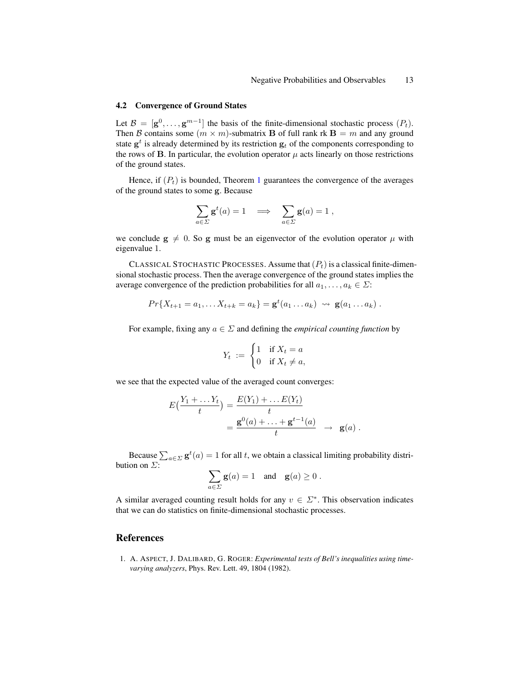#### <span id="page-12-1"></span>4.2 Convergence of Ground States

Let  $\mathcal{B} = [\mathbf{g}^0, \dots, \mathbf{g}^{m-1}]$  the basis of the finite-dimensional stochastic process  $(P_t)$ . Then B contains some  $(m \times m)$ -submatrix B of full rank rk B = m and any ground state  $g^t$  is already determined by its restriction  $g_t$  of the components corresponding to the rows of B. In particular, the evolution operator  $\mu$  acts linearly on those restrictions of the ground states.

Hence, if  $(P_t)$  is bounded, Theorem [1](#page-10-0) guarantees the convergence of the averages of the ground states to some g. Because

$$
\sum_{a \in \Sigma} \mathbf{g}^t(a) = 1 \quad \Longrightarrow \quad \sum_{a \in \Sigma} \mathbf{g}(a) = 1 \ ,
$$

we conclude  $g \neq 0$ . So g must be an eigenvector of the evolution operator  $\mu$  with eigenvalue 1.

CLASSICAL STOCHASTIC PROCESSES. Assume that  $(P_t)$  is a classical finite-dimensional stochastic process. Then the average convergence of the ground states implies the average convergence of the prediction probabilities for all  $a_1, \ldots, a_k \in \Sigma$ :

$$
Pr{X_{t+1} = a_1, ..., X_{t+k} = a_k} = \mathbf{g}^t(a_1 ... a_k) \rightsquigarrow \mathbf{g}(a_1 ... a_k).
$$

For example, fixing any  $a \in \Sigma$  and defining the *empirical counting function* by

$$
Y_t := \begin{cases} 1 & \text{if } X_t = a \\ 0 & \text{if } X_t \neq a, \end{cases}
$$

we see that the expected value of the averaged count converges:

$$
E\left(\frac{Y_1 + \dots Y_t}{t}\right) = \frac{E(Y_1) + \dots E(Y_t)}{t}
$$
  
= 
$$
\frac{\mathbf{g}^0(a) + \dots + \mathbf{g}^{t-1}(a)}{t} \rightarrow \mathbf{g}(a).
$$

Because  $\sum_{a \in \Sigma} \mathbf{g}^t(a) = 1$  for all t, we obtain a classical limiting probability distribution on  $\Sigma$ :

$$
\sum_{a \in \Sigma} \mathbf{g}(a) = 1 \quad \text{and} \quad \mathbf{g}(a) \ge 0.
$$

A similar averaged counting result holds for any  $v \in \Sigma^*$ . This observation indicates that we can do statistics on finite-dimensional stochastic processes.

# References

<span id="page-12-0"></span>1. A. ASPECT, J. DALIBARD, G. ROGER: *Experimental tests of Bell's inequalities using timevarying analyzers*, Phys. Rev. Lett. 49, 1804 (1982).